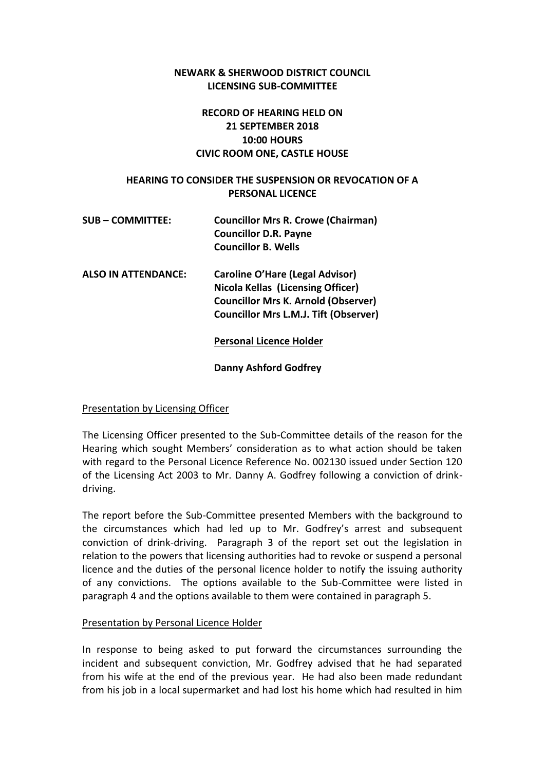## **NEWARK & SHERWOOD DISTRICT COUNCIL LICENSING SUB-COMMITTEE**

# **RECORD OF HEARING HELD ON 21 SEPTEMBER 2018 10:00 HOURS CIVIC ROOM ONE, CASTLE HOUSE**

### **HEARING TO CONSIDER THE SUSPENSION OR REVOCATION OF A PERSONAL LICENCE**

| <b>SUB-COMMITTEE:</b> | <b>Councillor Mrs R. Crowe (Chairman)</b> |
|-----------------------|-------------------------------------------|
|                       | <b>Councillor D.R. Payne</b>              |
|                       | <b>Councillor B. Wells</b>                |
| ALSO IN ATTENDANCE.   | Caroline O'Hare (Legal Advisor)           |

**ALSO IN ATTENDANCE: Caroline O'Hare (Legal Advisor) Nicola Kellas (Licensing Officer) Councillor Mrs K. Arnold (Observer) Councillor Mrs L.M.J. Tift (Observer)**

## **Personal Licence Holder**

**Danny Ashford Godfrey**

### Presentation by Licensing Officer

The Licensing Officer presented to the Sub-Committee details of the reason for the Hearing which sought Members' consideration as to what action should be taken with regard to the Personal Licence Reference No. 002130 issued under Section 120 of the Licensing Act 2003 to Mr. Danny A. Godfrey following a conviction of drinkdriving.

The report before the Sub-Committee presented Members with the background to the circumstances which had led up to Mr. Godfrey's arrest and subsequent conviction of drink-driving. Paragraph 3 of the report set out the legislation in relation to the powers that licensing authorities had to revoke or suspend a personal licence and the duties of the personal licence holder to notify the issuing authority of any convictions. The options available to the Sub-Committee were listed in paragraph 4 and the options available to them were contained in paragraph 5.

### Presentation by Personal Licence Holder

In response to being asked to put forward the circumstances surrounding the incident and subsequent conviction, Mr. Godfrey advised that he had separated from his wife at the end of the previous year. He had also been made redundant from his job in a local supermarket and had lost his home which had resulted in him